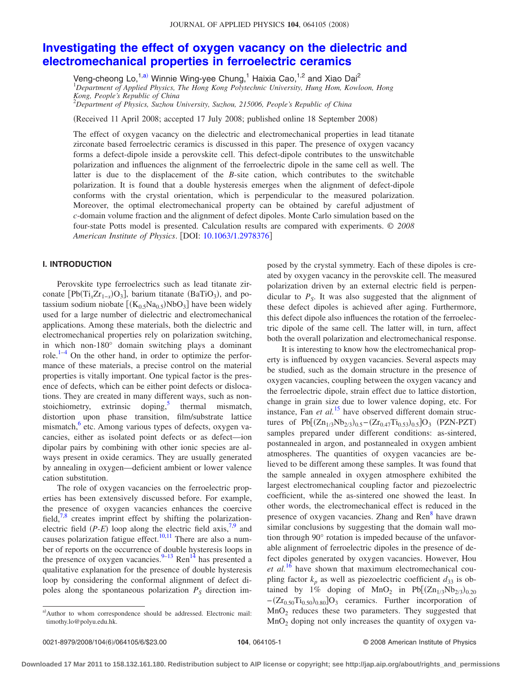# **[Investigating the effect of oxygen vacancy on the dielectric and](http://dx.doi.org/10.1063/1.2978376) [electromechanical properties in ferroelectric ceramics](http://dx.doi.org/10.1063/1.2978376)**

Veng-cheong Lo,<sup>1[,a](#page-0-0))</sup> Winnie Wing-yee Chung,<sup>1</sup> Haixia Cao,<sup>1,2</sup> and Xiao Dai<sup>2</sup><br><sup>1</sup> Department of Applied Physics, The Hong Kong Polytechnic University, Hung Hom, Kowloon, Hong

*Kong, People's Republic of China*

2 *Department of Physics, Suzhou University, Suzhou, 215006, People's Republic of China*

Received 11 April 2008; accepted 17 July 2008; published online 18 September 2008-

The effect of oxygen vacancy on the dielectric and electromechanical properties in lead titanate zirconate based ferroelectric ceramics is discussed in this paper. The presence of oxygen vacancy forms a defect-dipole inside a perovskite cell. This defect-dipole contributes to the unswitchable polarization and influences the alignment of the ferroelectric dipole in the same cell as well. The latter is due to the displacement of the *B*-site cation, which contributes to the switchable polarization. It is found that a double hysteresis emerges when the alignment of defect-dipole conforms with the crystal orientation, which is perpendicular to the measured polarization. Moreover, the optimal electromechanical property can be obtained by careful adjustment of *c*-domain volume fraction and the alignment of defect dipoles. Monte Carlo simulation based on the four-state Potts model is presented. Calculation results are compared with experiments. © *2008 American Institute of Physics*. DOI: [10.1063/1.2978376](http://dx.doi.org/10.1063/1.2978376)

## **I. INTRODUCTION**

Perovskite type ferroelectrics such as lead titanate zirconate [Pb(Ti<sub>x</sub>Zr<sub>1-x</sub>)O<sub>3</sub>], barium titanate (BaTiO<sub>3</sub>), and potassium sodium niobate  $[(K_{0.5}Na_{0.5})NbO<sub>3</sub>]$  have been widely used for a large number of dielectric and electromechanical applications. Among these materials, both the dielectric and electromechanical properties rely on polarization switching, in which non-180° domain switching plays a dominant role. $1-4$  $1-4$  On the other hand, in order to optimize the performance of these materials, a precise control on the material properties is vitally important. One typical factor is the presence of defects, which can be either point defects or dislocations. They are created in many different ways, such as nonstoichiometry, extrinsic doping, $\delta$  thermal mismatch, distortion upon phase transition, film/substrate lattice mismatch, $6$  etc. Among various types of defects, oxygen vacancies, either as isolated point defects or as defect—ion dipolar pairs by combining with other ionic species are always present in oxide ceramics. They are usually generated by annealing in oxygen—deficient ambient or lower valence cation substitution.

The role of oxygen vacancies on the ferroelectric properties has been extensively discussed before. For example, the presence of oxygen vacancies enhances the coercive field, $\frac{7}{8}$  $\frac{7}{8}$  $\frac{7}{8}$  creates imprint effect by shifting the polarizationelectric field  $(P-E)$  loop along the electric field axis,<sup>7,[9](#page-5-6)</sup> and causes polarization fatigue effect.<sup>10[,11](#page-5-8)</sup> There are also a number of reports on the occurrence of double hysteresis loops in the presence of oxygen vacancies. $9-13$  Ren<sup>14</sup> has presented a qualitative explanation for the presence of double hysteresis loop by considering the conformal alignment of defect dipoles along the spontaneous polarization  $P<sub>S</sub>$  direction imposed by the crystal symmetry. Each of these dipoles is created by oxygen vacancy in the perovskite cell. The measured polarization driven by an external electric field is perpendicular to  $P<sub>S</sub>$ . It was also suggested that the alignment of these defect dipoles is achieved after aging. Furthermore, this defect dipole also influences the rotation of the ferroelectric dipole of the same cell. The latter will, in turn, affect both the overall polarization and electromechanical response.

It is interesting to know how the electromechanical property is influenced by oxygen vacancies. Several aspects may be studied, such as the domain structure in the presence of oxygen vacancies, coupling between the oxygen vacancy and the ferroelectric dipole, strain effect due to lattice distortion, change in grain size due to lower valence doping, etc. For instance, Fan *et al.*<sup>[15](#page-5-11)</sup> have observed different domain structures of  $Pb[(Zn_{1/3}Nb_{2/3})_{0.5}-(Zr_{0.47}Ti_{0.53})_{0.5}]O_3$  (PZN-PZT) samples prepared under different conditions: as-sintered, postannealed in argon, and postannealed in oxygen ambient atmospheres. The quantities of oxygen vacancies are believed to be different among these samples. It was found that the sample annealed in oxygen atmosphere exhibited the largest electromechanical coupling factor and piezoelectric coefficient, while the as-sintered one showed the least. In other words, the electromechanical effect is reduced in the presence of oxygen vacancies. Zhang and  $\text{Ren}^8$  have drawn similar conclusions by suggesting that the domain wall motion through 90° rotation is impeded because of the unfavorable alignment of ferroelectric dipoles in the presence of defect dipoles generated by oxygen vacancies. However, Hou *et al.*[16](#page-5-12) have shown that maximum electromechanical coupling factor  $k_p$  as well as piezoelectric coefficient  $d_{33}$  is obtained by 1% doping of  $MnO_2$  in Pb $[(Zn_{1/3}Nb_{2/3})_{0.20}]$  $-(Zr_{0.50}Ti_{0.50})_{0.80}$ ]O<sub>3</sub> ceramics. Further incorporation of  $MnO<sub>2</sub>$  reduces these two parameters. They suggested that  $MnO<sub>2</sub>$  doping not only increases the quantity of oxygen va-

<span id="page-0-0"></span>a)Author to whom correspondence should be addressed. Electronic mail: timothy.lo@polyu.edu.hk.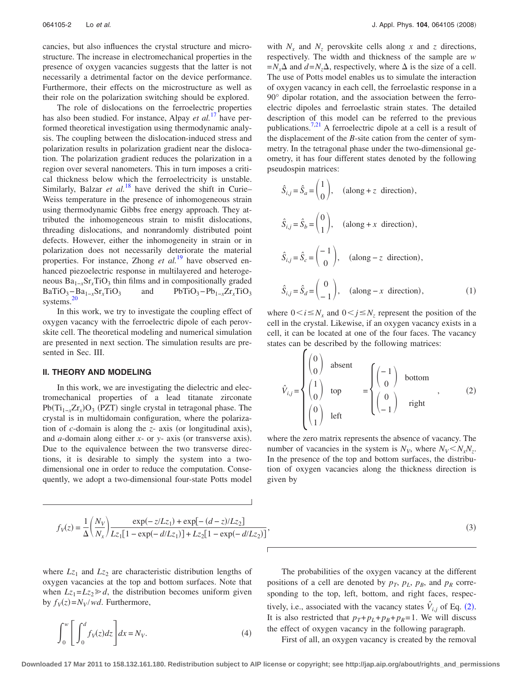cancies, but also influences the crystal structure and microstructure. The increase in electromechanical properties in the presence of oxygen vacancies suggests that the latter is not necessarily a detrimental factor on the device performance. Furthermore, their effects on the microstructure as well as their role on the polarization switching should be explored.

The role of dislocations on the ferroelectric properties has also been studied. For instance, Alpay *et al.*<sup>[17](#page-5-13)</sup> have performed theoretical investigation using thermodynamic analysis. The coupling between the dislocation-induced stress and polarization results in polarization gradient near the dislocation. The polarization gradient reduces the polarization in a region over several nanometers. This in turn imposes a critical thickness below which the ferroelectricity is unstable. Similarly, Balzar *et al.*<sup>[18](#page-5-14)</sup> have derived the shift in Curie– Weiss temperature in the presence of inhomogeneous strain using thermodynamic Gibbs free energy approach. They attributed the inhomogeneous strain to misfit dislocations, threading dislocations, and nonrandomly distributed point defects. However, either the inhomogeneity in strain or in polarization does not necessarily deteriorate the material properties. For instance, Zhong *et al.*[19](#page-5-15) have observed enhanced piezoelectric response in multilayered and heterogeneous  $Ba_{1-x}Sr_xTiO_3$  thin films and in compositionally graded<br>BaTiO<sub>3</sub> -  $Ba_{1-x}Sr_xTiO_3$  and PbTiO<sub>3</sub> -  $Pb_{1-x}Zr_xTiO_3$ and PbTiO<sub>3</sub>−Pb<sub>1−*x*</sub>Zr<sub>*x*</sub>TiO<sub>3</sub></sub> systems.<sup>20</sup>

In this work, we try to investigate the coupling effect of oxygen vacancy with the ferroelectric dipole of each perovskite cell. The theoretical modeling and numerical simulation are presented in next section. The simulation results are presented in Sec. III.

#### **II. THEORY AND MODELING**

In this work, we are investigating the dielectric and electromechanical properties of a lead titanate zirconate Pb(Ti<sub>1-*x*</sub>Zr<sub>*x*</sub>)O<sub>3</sub> (PZT) single crystal in tetragonal phase. The crystal is in multidomain configuration, where the polarization of *c*-domain is along the *z*- axis (or longitudinal axis), and *a*-domain along either *x*- or *y*- axis (or transverse axis). Due to the equivalence between the two transverse directions, it is desirable to simply the system into a twodimensional one in order to reduce the computation. Consequently, we adopt a two-dimensional four-state Potts model with  $N_x$  and  $N_z$  perovskite cells along x and z directions, respectively. The width and thickness of the sample are *w*  $=N_x\Delta$  and  $d=N_z\Delta$ , respectively, where  $\Delta$  is the size of a cell. The use of Potts model enables us to simulate the interaction of oxygen vacancy in each cell, the ferroelastic response in a 90° dipolar rotation, and the association between the ferroelectric dipoles and ferroelastic strain states. The detailed description of this model can be referred to the previous publications.<sup>7[,21](#page-5-17)</sup> A ferroelectric dipole at a cell is a result of the displacement of the *B*-site cation from the center of symmetry. In the tetragonal phase under the two-dimensional geometry, it has four different states denoted by the following pseudospin matrices:

$$
\hat{S}_{i,j} = \hat{S}_a = \begin{pmatrix} 1 \\ 0 \end{pmatrix}, \quad \text{(along } + z \text{ direction)},
$$
\n
$$
\hat{S}_{i,j} = \hat{S}_b = \begin{pmatrix} 0 \\ 1 \end{pmatrix}, \quad \text{(along } + x \text{ direction)},
$$
\n
$$
\hat{S}_{i,j} = \hat{S}_c = \begin{pmatrix} -1 \\ 0 \end{pmatrix}, \quad \text{(along } -z \text{ direction)},
$$
\n
$$
\hat{S}_{i,j} = \hat{S}_d = \begin{pmatrix} 0 \\ -1 \end{pmatrix}, \quad \text{(along } -x \text{ direction)},
$$
\n(1)

where  $0 \le i \le N_x$  and  $0 \le j \le N_z$  represent the position of the cell in the crystal. Likewise, if an oxygen vacancy exists in a cell, it can be located at one of the four faces. The vacancy states can be described by the following matrices:

<span id="page-1-0"></span>
$$
\hat{V}_{i,j} = \begin{cases}\n\begin{pmatrix}\n0 \\
0\n\end{pmatrix} & \text{absent} \\
\begin{pmatrix}\n1 \\
0\n\end{pmatrix} & \text{top} \\
\begin{pmatrix}\n0 \\
1\n\end{pmatrix} & \text{left}\n\end{cases} = \begin{cases}\n\begin{pmatrix}\n-1 \\
0\n\end{pmatrix} & \text{bottom} \\
\begin{pmatrix}\n0 \\
-1\n\end{pmatrix} & \text{right}\n\end{cases}, (2)
$$

where the zero matrix represents the absence of vacancy. The number of vacancies in the system is  $N_V$ , where  $N_V < N_x N_z$ . In the presence of the top and bottom surfaces, the distribution of oxygen vacancies along the thickness direction is given by

$$
f_V(z) = \frac{1}{\Delta} \left( \frac{N_V}{N_x} \right) \frac{\exp(-z/Lz_1) + \exp[-(d-z)/Lz_2]}{Lz_1[1 - \exp(-d/Lz_1)] + Lz_2[1 - \exp(-d/Lz_2)]},
$$
\n(3)

where  $Lz_1$  and  $Lz_2$  are characteristic distribution lengths of oxygen vacancies at the top and bottom surfaces. Note that when  $Lz_1 = Lz_2 \ge d$ , the distribution becomes uniform given by  $f_V(z) = N_V/wd$ . Furthermore,

$$
\int_0^w \left[ \int_0^d f_V(z) dz \right] dx = N_V.
$$
 (4)

The probabilities of the oxygen vacancy at the different positions of a cell are denoted by  $p_T$ ,  $p_L$ ,  $p_B$ , and  $p_R$  corresponding to the top, left, bottom, and right faces, respectively, i.e., associated with the vacancy states  $\hat{V}_{i,j}$  of Eq. ([2](#page-1-0)). It is also restricted that  $p_T + p_L + p_B + p_R = 1$ . We will discuss the effect of oxygen vacancy in the following paragraph.

First of all, an oxygen vacancy is created by the removal

**Downloaded 17 Mar 2011 to 158.132.161.180. Redistribution subject to AIP license or copyright; see http://jap.aip.org/about/rights\_and\_permissions**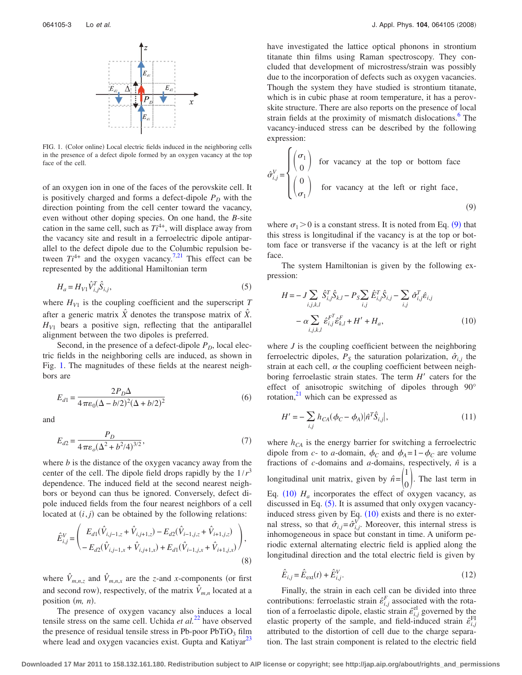<span id="page-2-0"></span>

FIG. 1. (Color online) Local electric fields induced in the neighboring cells in the presence of a defect dipole formed by an oxygen vacancy at the top face of the cell.

of an oxygen ion in one of the faces of the perovskite cell. It is positively charged and forms a defect-dipole  $P<sub>D</sub>$  with the direction pointing from the cell center toward the vacancy, even without other doping species. On one hand, the *B*-site cation in the same cell, such as  $Ti^{4+}$ , will displace away from the vacancy site and result in a ferroelectric dipole antiparallel to the defect dipole due to the Columbic repulsion between  $Ti^{4+}$  and the oxygen vacancy.<sup>7,[21](#page-5-17)</sup> This effect can be represented by the additional Hamiltonian term

<span id="page-2-3"></span>
$$
H_a = H_{V1} \hat{V}_{i,j}^T \hat{S}_{i,j},
$$
\n(5)

where  $H_{V1}$  is the coupling coefficient and the superscript  $T$ after a generic matrix  $\hat{X}$  denotes the transpose matrix of  $\hat{X}$ .  $H_{V1}$  bears a positive sign, reflecting that the antiparallel alignment between the two dipoles is preferred.

Second, in the presence of a defect-dipole  $P<sub>D</sub>$ , local electric fields in the neighboring cells are induced, as shown in Fig. [1.](#page-2-0) The magnitudes of these fields at the nearest neighbors are

$$
E_{d1} = \frac{2P_D \Delta}{4\pi\epsilon_0(\Delta - b/2)^2(\Delta + b/2)^2}
$$
 (6)

and

$$
E_{d2} = \frac{P_D}{4\pi\varepsilon_o(\Delta^2 + b^2/4)^{3/2}},\tag{7}
$$

where *b* is the distance of the oxygen vacancy away from the center of the cell. The dipole field drops rapidly by the  $1/r<sup>3</sup>$ dependence. The induced field at the second nearest neighbors or beyond can thus be ignored. Conversely, defect dipole induced fields from the four nearest neighbors of a cell located at  $(i, j)$  can be obtained by the following relations:

$$
\hat{E}_{i,j}^V = \begin{pmatrix} E_{d1}(\hat{V}_{i,j-1,z} + \hat{V}_{i,j+1,z}) - E_{d2}(\hat{V}_{i-1,j,z} + \hat{V}_{i+1,j,z}) \\ - E_{d2}(\hat{V}_{i,j-1,x} + \hat{V}_{i,j+1,x}) + E_{d1}(\hat{V}_{i-1,j,x} + \hat{V}_{i+1,j,x}) \end{pmatrix},
$$
\n(8)

where  $\hat{V}_{m,n,z}$  and  $\hat{V}_{m,n,x}$  are the *z*-and *x*-components (or first and second row), respectively, of the matrix  $\hat{V}_{m,n}$  located at a position  $(m, n)$ .

The presence of oxygen vacancy also induces a local tensile stress on the same cell. Uchida  $et al.<sup>22</sup>$  $et al.<sup>22</sup>$  $et al.<sup>22</sup>$  have observed the presence of residual tensile stress in Pb-poor  $PbTiO<sub>3</sub> film$ where lead and oxygen vacancies exist. Gupta and Katiyar<sup>23</sup>

have investigated the lattice optical phonons in strontium titanate thin films using Raman spectroscopy. They concluded that development of microstress/strain was possibly due to the incorporation of defects such as oxygen vacancies. Though the system they have studied is strontium titanate, which is in cubic phase at room temperature, it has a perovskite structure. There are also reports on the presence of local strain fields at the proximity of mismatch dislocations.<sup>6</sup> The vacancy-induced stress can be described by the following expression:

<span id="page-2-1"></span>
$$
\hat{\sigma}_{i,j}^V = \begin{cases}\n\sigma_1 \\
0 \\
\sigma_1\n\end{cases}
$$
 for vacancy at the top or bottom face  
\n
$$
\hat{\sigma}_{i,j}^V = \begin{pmatrix}\n0 \\
0 \\
\sigma_1\n\end{pmatrix}
$$
 for vacancy at the left or right face, (9)

where  $\sigma_1 > 0$  is a constant stress. It is noted from Eq. ([9](#page-2-1)) that this stress is longitudinal if the vacancy is at the top or bottom face or transverse if the vacancy is at the left or right face.

The system Hamiltonian is given by the following expression:

<span id="page-2-2"></span>
$$
H = -J \sum_{i,j,k,l} \hat{S}_{i,j}^T \hat{S}_{k,l} - P_S \sum_{i,j} \hat{E}_{i,j}^T \hat{S}_{i,j} - \sum_{i,j} \hat{\sigma}_{i,j}^T \hat{\epsilon}_{i,j}
$$

$$
- \alpha \sum_{i,j,k,l} \hat{\epsilon}_{i,j}^{F^T} \hat{\epsilon}_{k,l}^F + H' + H_a,
$$
(10)

where *J* is the coupling coefficient between the neighboring ferroelectric dipoles,  $P<sub>S</sub>$  the saturation polarization,  $\hat{\sigma}_{i,j}$  the strain at each cell,  $\alpha$  the coupling coefficient between neighboring ferroelastic strain states. The term  $H'$  caters for the effect of anisotropic switching of dipoles through 90° rotation, $^{21}$  which can be expressed as

$$
H' = -\sum_{i,j} h_{CA}(\phi_C - \phi_A) |\hat{n}^T \hat{S}_{i,j}|,
$$
\n(11)

where  $h_{CA}$  is the energy barrier for switching a ferroelectric dipole from *c*- to *a*-domain,  $\phi_C$  and  $\phi_A = 1 - \phi_C$  are volume fractions of  $c$ -domains and  $a$ -domains, respectively,  $\hat{n}$  is a longitudinal unit matrix, given by  $\hat{n} = \begin{pmatrix} 1 \\ 0 \end{pmatrix}$  $\binom{0}{0}$ . The last term in Eq.  $(10)$  $(10)$  $(10)$   $H_a$  incorporates the effect of oxygen vacancy, as discussed in Eq.  $(5)$  $(5)$  $(5)$ . It is assumed that only oxygen vacancyinduced stress given by Eq.  $(10)$  $(10)$  $(10)$  exists and there is no external stress, so that  $\hat{\sigma}_{i,j} = \hat{\sigma}_{i,j}^V$ . Moreover, this internal stress is inhomogeneous in space but constant in time. A uniform periodic external alternating electric field is applied along the longitudinal direction and the total electric field is given by

$$
\hat{E}_{i,j} = \hat{E}_{\text{ext}}(t) + \hat{E}_{i,j}^V.
$$
\n(12)

Finally, the strain in each cell can be divided into three contributions: ferroelastic strain  $\hat{\epsilon}^F_{i,j}$  associated with the rotation of a ferroelastic dipole, elastic strain  $\hat{\epsilon}_{i,j}^{\text{el}}$  governed by the elastic property of the sample, and field-induced strain  $\hat{\epsilon}_{i,j}^{\text{FI}}$ attributed to the distortion of cell due to the charge separation. The last strain component is related to the electric field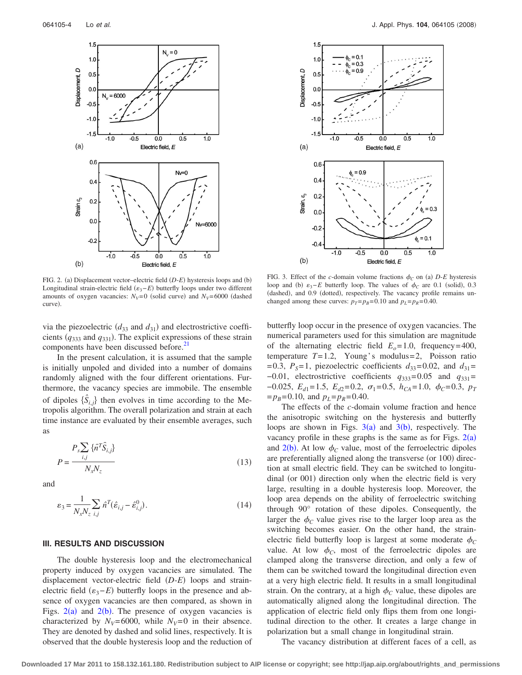<span id="page-3-0"></span>

FIG. 2. (a) Displacement vector–electric field (D-*E*) hysteresis loops and (b) Longitudinal strain-electric field ( $\varepsilon$ <sub>3</sub>−*E*) butterfly loops under two different amounts of oxygen vacancies:  $N_V=0$  (solid curve) and  $N_V=6000$  (dashed curve).

via the piezoelectric  $(d_{33} \text{ and } d_{31})$  and electrostrictive coefficients  $(q_{333}$  and  $q_{331})$ . The explicit expressions of these strain components have been discussed before.<sup>21</sup>

In the present calculation, it is assumed that the sample is initially unpoled and divided into a number of domains randomly aligned with the four different orientations. Furthermore, the vacancy species are immobile. The ensemble of dipoles  $\{\hat{S}_{i,j}\}\$  then evolves in time according to the Metropolis algorithm. The overall polarization and strain at each time instance are evaluated by their ensemble averages, such as

$$
P_s \sum_{i,j} \{ \hat{n}^T \hat{S}_{i,j} \}
$$
  

$$
P = \frac{N_x N_z}{N_x N_z}
$$
 (13)

and

$$
\varepsilon_3 = \frac{1}{N_x N_z} \sum_{i,j} \hat{n}^T (\hat{\varepsilon}_{i,j} - \hat{\varepsilon}_{i,j}^0). \tag{14}
$$

#### **III. RESULTS AND DISCUSSION**

The double hysteresis loop and the electromechanical property induced by oxygen vacancies are simulated. The displacement vector-electric field (D-E) loops and strainelectric field  $(\varepsilon_3 - E)$  butterfly loops in the presence and absence of oxygen vacancies are then compared, as shown in Figs.  $2(a)$  $2(a)$  and  $2(b)$ . The presence of oxygen vacancies is characterized by  $N_V=6000$ , while  $N_V=0$  in their absence. They are denoted by dashed and solid lines, respectively. It is observed that the double hysteresis loop and the reduction of

<span id="page-3-1"></span>

FIG. 3. Effect of the *c*-domain volume fractions  $\phi_C$  on (a) *D-E* hysteresis loop and (b)  $\varepsilon_3$ -*E* butterfly loop. The values of  $\phi_C$  are 0.1 (solid), 0.3 (dashed), and 0.9 (dotted), respectively. The vacancy profile remains unchanged among these curves:  $p_T = p_B = 0.10$  and  $p_L = p_R = 0.40$ .

butterfly loop occur in the presence of oxygen vacancies. The numerical parameters used for this simulation are magnitude of the alternating electric field  $E<sub>o</sub>=1.0$ , frequency=400, temperature  $T=1.2$ , Young's modulus=2, Poisson ratio = 0.3,  $P_s$  = 1, piezoelectric coefficients  $d_{33}$  = 0.02, and  $d_{31}$  =  $-0.01$ , electrostrictive coefficients  $q_{333}=0.05$  and  $q_{331}=$  $-0.025$ ,  $E_{d1} = 1.5$ ,  $E_{d2} = 0.2$ ,  $\sigma_1 = 0.5$ ,  $h_{CA} = 1.0$ ,  $\phi_C = 0.3$ ,  $p_T$  $=p_B=0.10$ , and  $p_L=p_R=0.40$ .

The effects of the *c*-domain volume fraction and hence the anisotropic switching on the hysteresis and butterfly loops are shown in Figs.  $3(a)$  $3(a)$  and  $3(b)$ , respectively. The vacancy profile in these graphs is the same as for Figs.  $2(a)$  $2(a)$ and  $2(b)$  $2(b)$ . At low  $\phi_C$  value, most of the ferroelectric dipoles are preferentially aligned along the transverse (or 100) direction at small electric field. They can be switched to longitudinal (or 001) direction only when the electric field is very large, resulting in a double hysteresis loop. Moreover, the loop area depends on the ability of ferroelectric switching through 90° rotation of these dipoles. Consequently, the larger the  $\phi_C$  value gives rise to the larger loop area as the switching becomes easier. On the other hand, the strainelectric field butterfly loop is largest at some moderate  $\phi_C$ value. At low  $\phi_C$ , most of the ferroelectric dipoles are clamped along the transverse direction, and only a few of them can be switched toward the longitudinal direction even at a very high electric field. It results in a small longitudinal strain. On the contrary, at a high  $\phi_C$  value, these dipoles are automatically aligned along the longitudinal direction. The application of electric field only flips them from one longitudinal direction to the other. It creates a large change in polarization but a small change in longitudinal strain.

The vacancy distribution at different faces of a cell, as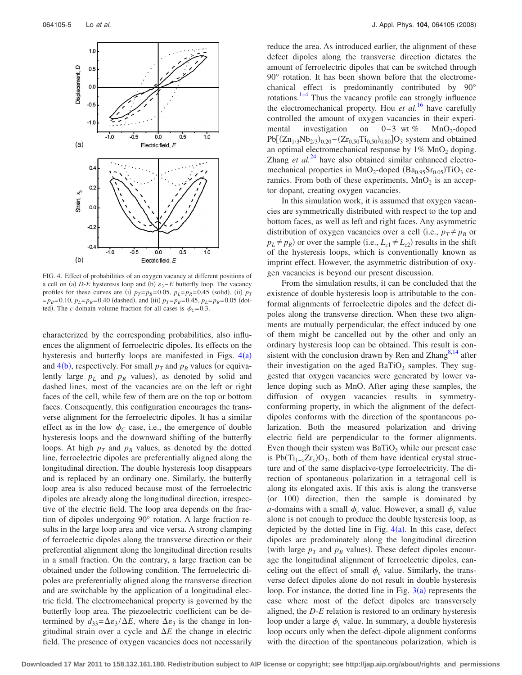<span id="page-4-0"></span>

FIG. 4. Effect of probabilities of an oxygen vacancy at different positions of a cell on (a)  $D$ -*E* hysteresis loop and (b)  $\varepsilon_3$ -*E* butterfly loop. The vacancy profiles for these curves are (i)  $p_T = p_B = 0.05$ ,  $p_L = p_R = 0.45$  (solid), (ii)  $p_T$  $=p_B=0.10$ ,  $p_L=p_R=0.40$  (dashed), and (iii)  $p_T=p_B=0.45$ ,  $p_L=p_R=0.05$  (dotted). The *c*-domain volume fraction for all cases is  $\phi_C = 0.3$ .

characterized by the corresponding probabilities, also influences the alignment of ferroelectric dipoles. Its effects on the hysteresis and butterfly loops are manifested in Figs.  $4(a)$  $4(a)$ and  $4(b)$  $4(b)$ , respectively. For small  $p_T$  and  $p_B$  values (or equivalently large  $p<sub>L</sub>$  and  $p<sub>R</sub>$  values), as denoted by solid and dashed lines, most of the vacancies are on the left or right faces of the cell, while few of them are on the top or bottom faces. Consequently, this configuration encourages the transverse alignment for the ferroelectric dipoles. It has a similar effect as in the low  $\phi_C$  case, i.e., the emergence of double hysteresis loops and the downward shifting of the butterfly loops. At high  $p_T$  and  $p_B$  values, as denoted by the dotted line, ferroelectric dipoles are preferentially aligned along the longitudinal direction. The double hysteresis loop disappears and is replaced by an ordinary one. Similarly, the butterfly loop area is also reduced because most of the ferroelectric dipoles are already along the longitudinal direction, irrespective of the electric field. The loop area depends on the fraction of dipoles undergoing 90° rotation. A large fraction results in the large loop area and vice versa. A strong clamping of ferroelectric dipoles along the transverse direction or their preferential alignment along the longitudinal direction results in a small fraction. On the contrary, a large fraction can be obtained under the following condition. The ferroelectric dipoles are preferentially aligned along the transverse direction and are switchable by the application of a longitudinal electric field. The electromechanical property is governed by the butterfly loop area. The piezoelectric coefficient can be determined by  $d_{33} = \Delta \epsilon_3 / \Delta E$ , where  $\Delta \epsilon_3$  is the change in longitudinal strain over a cycle and  $\Delta E$  the change in electric field. The presence of oxygen vacancies does not necessarily reduce the area. As introduced earlier, the alignment of these defect dipoles along the transverse direction dictates the amount of ferroelectric dipoles that can be switched through 90° rotation. It has been shown before that the electromechanical effect is predominantly contributed by 90° rotations. $1-4$  Thus the vacancy profile can strongly influence the electromechanical property. Hou *et al.*[16](#page-5-12) have carefully controlled the amount of oxygen vacancies in their experimental investigation on  $0-3$  wt % MnO<sub>2</sub>-doped  $Pb[(Zn_{1/3}Nb_{2/3})_{0.20}-(Zr_{0.50}Ti_{0.50})_{0.80}]O_3$  system and obtained an optimal electromechanical response by  $1\%$  MnO<sub>2</sub> doping. Zhang *et al.*<sup>[24](#page-5-20)</sup> have also obtained similar enhanced electromechanical properties in  $MnO_2$ -doped  $(Ba_{0.95}Sr_{0.05})TiO_3$  ceramics. From both of these experiments,  $MnO<sub>2</sub>$  is an acceptor dopant, creating oxygen vacancies.

In this simulation work, it is assumed that oxygen vacancies are symmetrically distributed with respect to the top and bottom faces, as well as left and right faces. Any asymmetric distribution of oxygen vacancies over a cell (i.e.,  $p_T \neq p_B$  or  $p_L \neq p_R$ ) or over the sample (i.e.,  $L_{z1} \neq L_{z2}$ ) results in the shift of the hysteresis loops, which is conventionally known as imprint effect. However, the asymmetric distribution of oxygen vacancies is beyond our present discussion.

From the simulation results, it can be concluded that the existence of double hysteresis loop is attributable to the conformal alignments of ferroelectric dipoles and the defect dipoles along the transverse direction. When these two alignments are mutually perpendicular, the effect induced by one of them might be cancelled out by the other and only an ordinary hysteresis loop can be obtained. This result is consistent with the conclusion drawn by Ren and Zhang $8,14$  $8,14$  after their investigation on the aged BaTiO<sub>3</sub> samples. They suggested that oxygen vacancies were generated by lower valence doping such as MnO. After aging these samples, the diffusion of oxygen vacancies results in symmetryconforming property, in which the alignment of the defectdipoles conforms with the direction of the spontaneous polarization. Both the measured polarization and driving electric field are perpendicular to the former alignments. Even though their system was  $BaTiO<sub>3</sub>$  while our present case is Pb( $Ti_{1-x}Zr_x$ )O<sub>3</sub>, both of them have identical crystal structure and of the same displacive-type ferroelectricity. The direction of spontaneous polarization in a tetragonal cell is along its elongated axis. If this axis is along the transverse (or 100) direction, then the sample is dominated by *a*-domains with a small  $\phi_c$  value. However, a small  $\phi_c$  value alone is not enough to produce the double hysteresis loop, as depicted by the dotted line in Fig.  $4(a)$  $4(a)$ . In this case, defect dipoles are predominately along the longitudinal direction (with large  $p_T$  and  $p_B$  values). These defect dipoles encourage the longitudinal alignment of ferroelectric dipoles, canceling out the effect of small  $\phi_c$  value. Similarly, the transverse defect dipoles alone do not result in double hysteresis loop. For instance, the dotted line in Fig.  $3(a)$  $3(a)$  represents the case where most of the defect dipoles are transversely aligned, the *D*-*E* relation is restored to an ordinary hysteresis loop under a large  $\phi_c$  value. In summary, a double hysteresis loop occurs only when the defect-dipole alignment conforms with the direction of the spontaneous polarization, which is